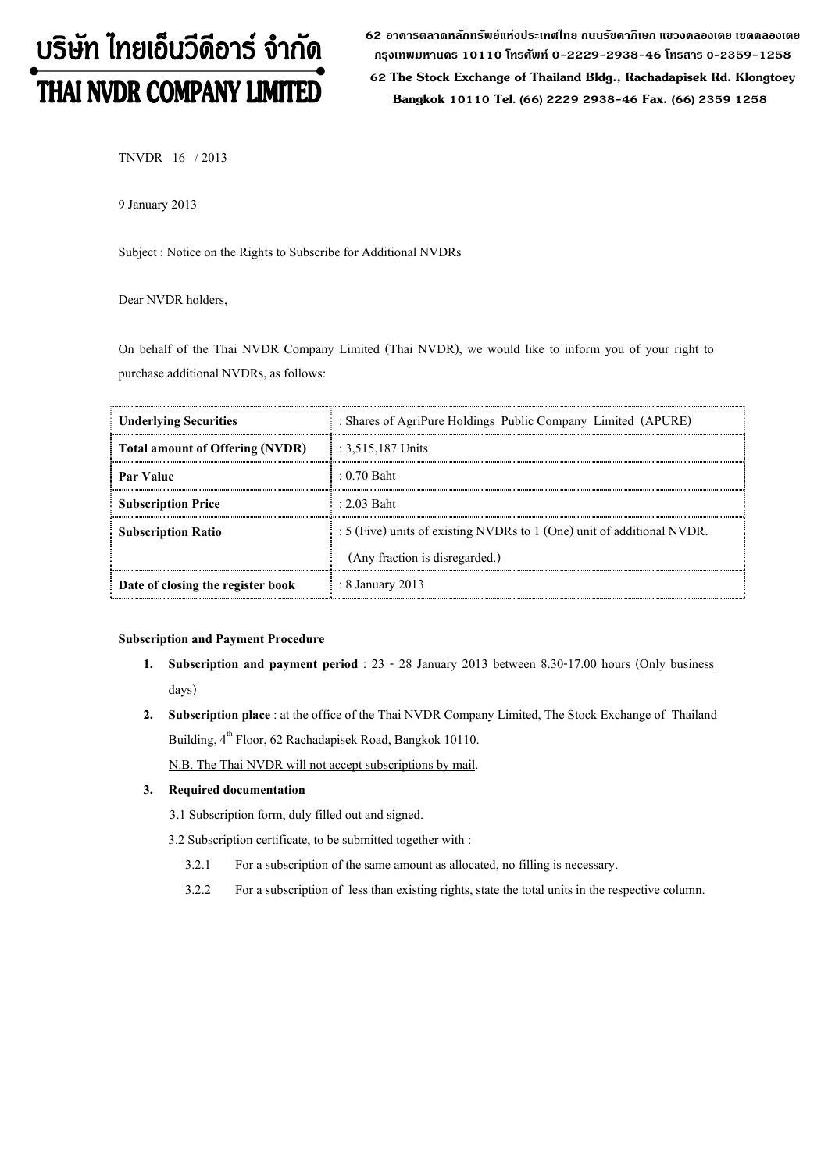# บริษัท ไทยเอ็นวีดีอาร์ จำกัด THAI NVDR COMPANY LIMITED

62 อาดารตลาดหลักทรัพย์แห่งประเทศไทย ถนนรัชดาภิเษก แขวงดลองเตย เขตดลองเตย กรุงเทพมหานดร 10110 โทรศัพท์ 0-2229-2938-46 โทรสาร 0-2359-1258

 62 The Stock Exchange of Thailand Bldg., Rachadapisek Rd. Klongtoey Bangkok 10110 Tel. (66) 2229 2938-46 Fax. (66) 2359 1258

TNVDR 16 / 2013

9 January 2013

Subject : Notice on the Rights to Subscribe for Additional NVDRs

Dear NVDR holders,

On behalf of the Thai NVDR Company Limited (Thai NVDR), we would like to inform you of your right to purchase additional NVDRs, as follows:

| <b>Underlying Securities</b>      | : Shares of AgriPure Holdings Public Company Limited (APURE)           |
|-----------------------------------|------------------------------------------------------------------------|
| Total amount of Offering (NVDR)   | : $3,515,187$ Units                                                    |
| Par Value                         | $: 0.70$ Baht                                                          |
| <b>Subscription Price</b>         | $\pm 2.03$ Baht                                                        |
| <b>Subscription Ratio</b>         | : 5 (Five) units of existing NVDRs to 1 (One) unit of additional NVDR. |
|                                   | (Any fraction is disregarded.)                                         |
| Date of closing the register book | : 8 January 2013                                                       |

#### Subscription and Payment Procedure

- 1. Subscription and payment period : 23 28 January 2013 between 8.30-17.00 hours (Only business days)
- 2. Subscription place : at the office of the Thai NVDR Company Limited, The Stock Exchange of Thailand Building,  $4^{th}$  Floor, 62 Rachadapisek Road, Bangkok 10110.

N.B. The Thai NVDR will not accept subscriptions by mail.

## 3. Required documentation

3.1 Subscription form, duly filled out and signed.

3.2 Subscription certificate, to be submitted together with :

- 3.2.1 For a subscription of the same amount as allocated, no filling is necessary.
- 3.2.2 For a subscription of less than existing rights, state the total units in the respective column.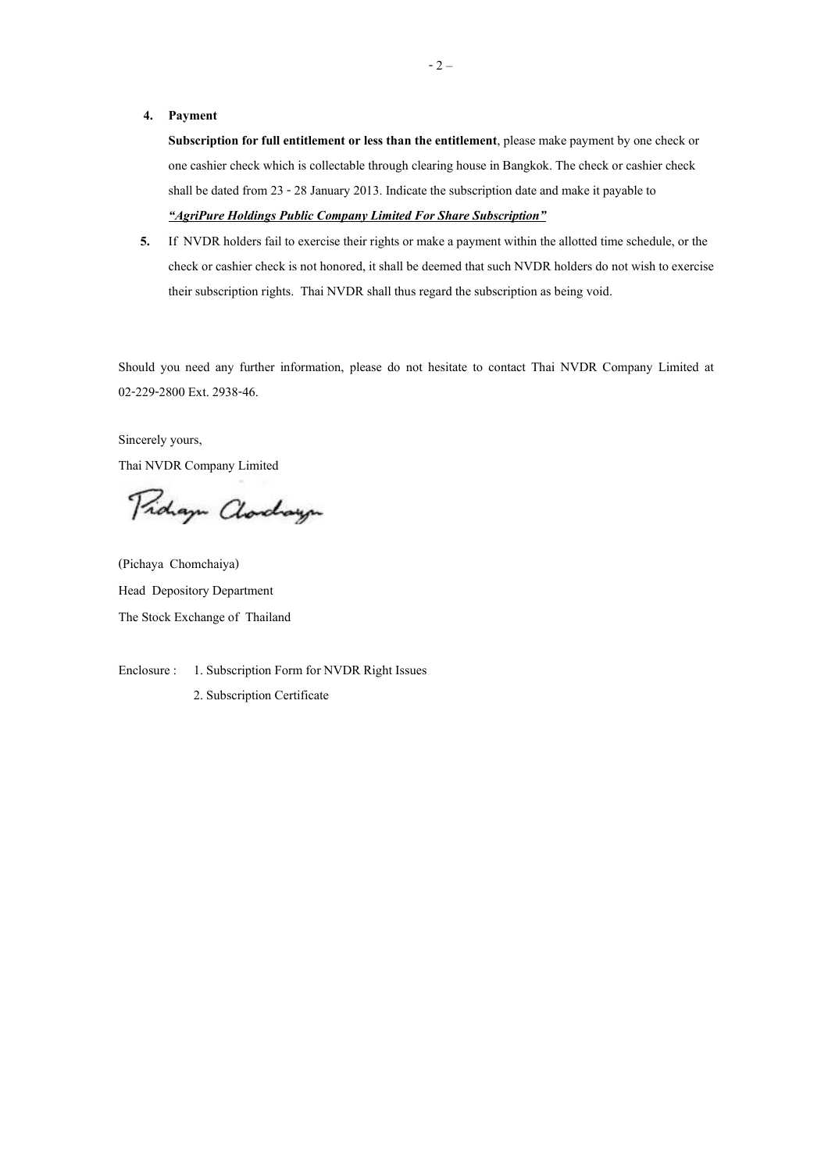#### 4. Payment

Subscription for full entitlement or less than the entitlement, please make payment by one check or one cashier check which is collectable through clearing house in Bangkok. The check or cashier check shall be dated from 23 - 28 January 2013. Indicate the subscription date and make it payable to "AgriPure Holdings Public Company Limited For Share Subscription"

5. If NVDR holders fail to exercise their rights or make a payment within the allotted time schedule, or the check or cashier check is not honored, it shall be deemed that such NVDR holders do not wish to exercise their subscription rights. Thai NVDR shall thus regard the subscription as being void.

Should you need any further information, please do not hesitate to contact Thai NVDR Company Limited at 02-229-2800 Ext. 2938-46.

Sincerely yours,

Thai NVDR Company Limited

Pidaya Clarchaya

(Pichaya Chomchaiya) Head Depository Department The Stock Exchange of Thailand

Enclosure : 1. Subscription Form for NVDR Right Issues 2. Subscription Certificate